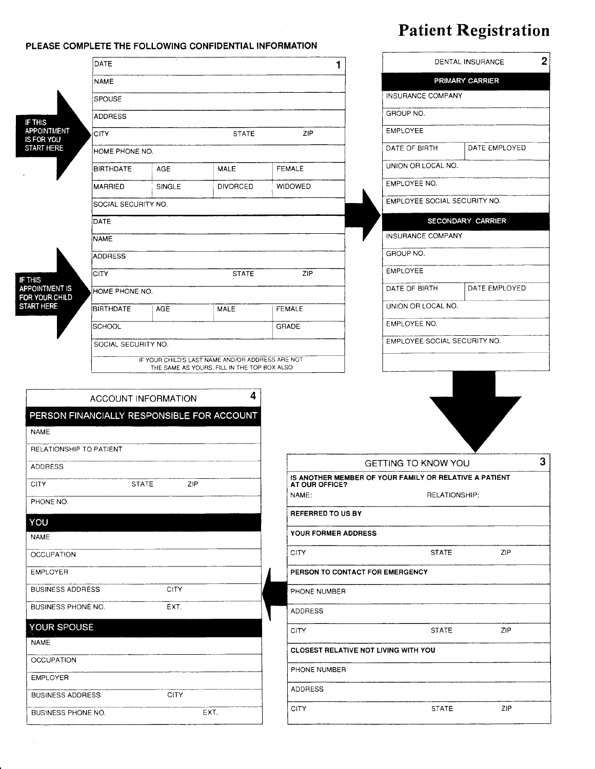## Patient Registration

|                                  | DATE                               |                            |                                                 |                                             | DENTAL INSURANCE                |                                                                                      |               |   |  |
|----------------------------------|------------------------------------|----------------------------|-------------------------------------------------|---------------------------------------------|---------------------------------|--------------------------------------------------------------------------------------|---------------|---|--|
|                                  | <b>NAME</b>                        |                            |                                                 | PRIMARY CARRIER                             |                                 |                                                                                      |               |   |  |
|                                  | <b>SPOUSE</b>                      |                            |                                                 |                                             |                                 | INSURANCE COMPANY                                                                    |               |   |  |
| IF THIS                          | ADDRESS                            |                            |                                                 |                                             |                                 | GROUP NO.                                                                            |               |   |  |
| <b>APPOINTMENT</b><br>IS FOR YOU | <b>CITY</b><br>ZIP<br><b>STATE</b> |                            |                                                 |                                             |                                 | <b>EMPLOYEE</b>                                                                      |               |   |  |
| <b>START HERE</b>                | HOME PHONE NO.                     |                            |                                                 |                                             |                                 | DATE OF BIRTH                                                                        | DATE EMPLOYED |   |  |
|                                  | <b>BIRTHDATE</b>                   | <b>AGE</b>                 | <b>MALE</b>                                     |                                             | FEMALE                          | UNION OR LOCAL NO.                                                                   |               |   |  |
|                                  | <b>MARRIED</b>                     | <b>SINGLE</b>              | <b>DIVORCED</b>                                 |                                             | <b>WIDOWED</b>                  | EMPLOYEE NO.                                                                         |               |   |  |
|                                  | SOCIAL SECURITY NO.                |                            |                                                 |                                             | EMPLOYEE SOCIAL SECURITY NO.    |                                                                                      |               |   |  |
|                                  | DATE                               |                            |                                                 |                                             |                                 | SECONDARY CARRIER                                                                    |               |   |  |
|                                  | <b>NAME</b>                        |                            |                                                 |                                             |                                 | INSURANCE COMPANY                                                                    |               |   |  |
|                                  | ADDRESS                            |                            |                                                 |                                             |                                 | GROUP NO.                                                                            |               |   |  |
| IF THIS                          | <b>CITY</b>                        |                            | <b>STATE</b>                                    |                                             | ZIP                             |                                                                                      |               |   |  |
| APPOINTMENT IS<br>FOR YOUR CHILD | HOME PHONE NO.                     |                            |                                                 |                                             |                                 | DATE OF BIRTH                                                                        | DATE EMPLOYED |   |  |
| <b>START HERE</b>                | <b>BIRTHDATE</b>                   | AGE                        | <b>MALE</b>                                     |                                             | <b>FEMALE</b>                   | UNION OR LOCAL NO.                                                                   |               |   |  |
|                                  | <b>SCHOOL</b>                      |                            |                                                 | GRADE                                       |                                 | EMPLOYEE NO.                                                                         |               |   |  |
| SOCIAL SECURITY NO.              |                                    |                            |                                                 |                                             | EMPLOYEE SOCIAL SECURITY NO.    |                                                                                      |               |   |  |
| <b>NAME</b>                      |                                    | <b>ACCOUNT INFORMATION</b> | 4<br>PERSON FINANCIALLY RESPONSIBLE FOR ACCOUNT |                                             |                                 |                                                                                      |               |   |  |
| RELATIONSHIP TO PATIENT          |                                    |                            |                                                 |                                             |                                 |                                                                                      |               |   |  |
| ADDRESS                          |                                    |                            |                                                 |                                             |                                 | <b>GETTING TO KNOW YOU</b><br>IS ANOTHER MEMBER OF YOUR FAMILY OR RELATIVE A PATIENT |               | 3 |  |
|                                  | <b>STATE</b>                       | ZIP                        |                                                 |                                             | AT OUR OFFICE?<br>NAME:         |                                                                                      | RELATIONSHIP: |   |  |
| PHONE NO.                        |                                    |                            |                                                 |                                             |                                 |                                                                                      |               |   |  |
| YOU                              |                                    |                            |                                                 |                                             | <b>REFERRED TO US BY</b>        |                                                                                      |               |   |  |
| <b>NAME</b>                      |                                    |                            |                                                 |                                             | YOUR FORMER ADDRESS             |                                                                                      |               |   |  |
| <b>OCCUPATION</b>                |                                    |                            |                                                 |                                             | <b>CITY</b>                     | <b>STATE</b>                                                                         | ZIP           |   |  |
| <b>EMPLOYER</b>                  |                                    |                            |                                                 |                                             | PERSON TO CONTACT FOR EMERGENCY |                                                                                      |               |   |  |
| <b>BUSINESS ADDRESS</b>          |                                    | <b>CITY</b>                |                                                 |                                             | PHONE NUMBER                    |                                                                                      |               |   |  |
| <b>BUSINESS PHONE NO.</b>        |                                    | EXT.                       |                                                 |                                             | <b>ADDRESS</b>                  |                                                                                      |               |   |  |
| YOUR SPOUSE                      |                                    |                            |                                                 |                                             | CITY                            | <b>STATE</b>                                                                         | ZIP           |   |  |
| <b>NAME</b>                      |                                    |                            |                                                 | <b>CLOSEST RELATIVE NOT LIVING WITH YOU</b> |                                 |                                                                                      |               |   |  |
|                                  |                                    |                            |                                                 |                                             |                                 |                                                                                      |               |   |  |

PLEASE COMPLETE THE FOLLOWING CONFIDENTIAL INFORMATION

 $\mathcal{A}$ 

| BUSINESS ADDRESS   | ۱۱۷ ان      |              |                   |     |
|--------------------|-------------|--------------|-------------------|-----|
| BUSINESS PHONE NO. | r va<br>ᄃᄉᆝ | $\sim$<br>◡᠁ | -----<br>$\cdots$ | ZIP |

PHONE NUMBER

ADDRESS